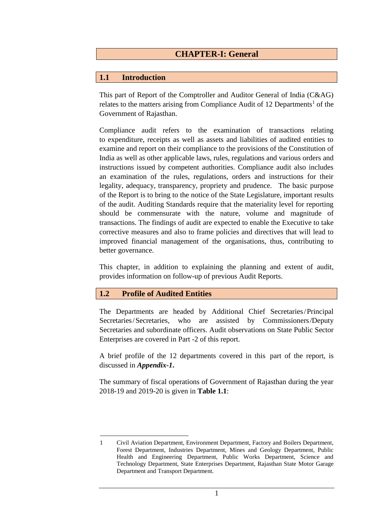# **1.1 Introduction**

This part of Report of the Comptroller and Auditor General of India (C&AG) relates to the matters arising from Compliance Audit of 12 Departments<sup>1</sup> of the Government of Rajasthan.

Compliance audit refers to the examination of transactions relating to expenditure, receipts as well as assets and liabilities of audited entities to examine and report on their compliance to the provisions of the Constitution of India as well as other applicable laws, rules, regulations and various orders and instructions issued by competent authorities. Compliance audit also includes an examination of the rules, regulations, orders and instructions for their legality, adequacy, transparency, propriety and prudence. The basic purpose of the Report is to bring to the notice of the State Legislature, important results of the audit. Auditing Standards require that the materiality level for reporting should be commensurate with the nature, volume and magnitude of transactions. The findings of audit are expected to enable the Executive to take corrective measures and also to frame policies and directives that will lead to improved financial management of the organisations, thus, contributing to better governance.

This chapter, in addition to explaining the planning and extent of audit, provides information on follow-up of previous Audit Reports.

## **1.2 Profile of Audited Entities**

The Departments are headed by Additional Chief Secretaries/Principal Secretaries/Secretaries, who are assisted by Commissioners/Deputy Secretaries and subordinate officers. Audit observations on State Public Sector Enterprises are covered in Part -2 of this report.

A brief profile of the 12 departments covered in this part of the report, is discussed in *Appendix-1***.**

The summary of fiscal operations of Government of Rajasthan during the year 2018-19 and 2019-20 is given in **Table 1.1**:

<sup>&</sup>lt;u>.</u> 1 Civil Aviation Department, Environment Department, Factory and Boilers Department, Forest Department, Industries Department, Mines and Geology Department, Public Health and Engineering Department, Public Works Department, Science and Technology Department, State Enterprises Department, Rajasthan State Motor Garage Department and Transport Department.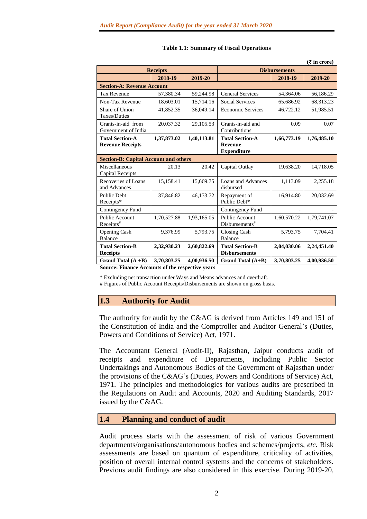| $(3\overline{5})$ in crore)                       |                 |             |                                                                |             |             |  |
|---------------------------------------------------|-----------------|-------------|----------------------------------------------------------------|-------------|-------------|--|
|                                                   | <b>Receipts</b> |             | <b>Disbursements</b>                                           |             |             |  |
|                                                   | 2018-19         | 2019-20     |                                                                | 2018-19     | 2019-20     |  |
| <b>Section-A: Revenue Account</b>                 |                 |             |                                                                |             |             |  |
| <b>Tax Revenue</b>                                | 57,380.34       | 59,244.98   | <b>General Services</b>                                        | 54,364.06   | 56,186.29   |  |
| Non-Tax Revenue                                   | 18,603.01       | 15,714.16   | <b>Social Services</b>                                         | 65,686.92   | 68,313.23   |  |
| Share of Union<br>Taxes/Duties                    | 41,852.35       | 36,049.14   | <b>Economic Services</b>                                       | 46,722.12   | 51,985.51   |  |
| Grants-in-aid from<br>Government of India         | 20.037.32       | 29,105.53   | Grants-in-aid and<br>Contributions                             | 0.09        | 0.07        |  |
| <b>Total Section-A</b><br><b>Revenue Receipts</b> | 1,37,873.02     | 1,40,113.81 | <b>Total Section-A</b><br><b>Revenue</b><br><b>Expenditure</b> | 1,66,773.19 | 1,76,485.10 |  |
| <b>Section-B: Capital Account and others</b>      |                 |             |                                                                |             |             |  |
| Miscellaneous<br>Capital Receipts                 | 20.13           | 20.42       | Capital Outlay                                                 | 19,638.20   | 14,718.05   |  |
| Recoveries of Loans<br>and Advances               | 15,158.41       | 15,669.75   | Loans and Advances<br>disbursed                                | 1,113.09    | 2,255.18    |  |
| <b>Public Debt</b><br>Receipts*                   | 37,846.82       | 46,173.72   | Repayment of<br>Public Debt*                                   | 16,914.80   | 20,032.69   |  |
| Contingency Fund                                  |                 |             | Contingency Fund                                               |             |             |  |
| Public Account<br>$Receipts$ <sup>#</sup>         | 1,70,527.88     | 1,93,165.05 | <b>Public Account</b><br>Disbursements#                        | 1,60,570.22 | 1,79,741.07 |  |
| <b>Opening Cash</b><br><b>Balance</b>             | 9.376.99        | 5,793.75    | Closing Cash<br><b>Balance</b>                                 | 5,793.75    | 7.704.41    |  |
| <b>Total Section-B</b><br><b>Receipts</b>         | 2,32,930.23     | 2,60,822.69 | <b>Total Section-B</b><br><b>Disbursements</b>                 | 2,04,030.06 | 2,24,451.40 |  |
| Grand Total $(A + B)$                             | 3,70,803.25     | 4,00,936.50 | Grand Total (A+B)                                              | 3,70,803.25 | 4,00,936.50 |  |

#### **Table 1.1: Summary of Fiscal Operations**

**Source: Finance Accounts of the respective years**

\* Excluding net transaction under Ways and Means advances and overdraft.

# Figures of Public Account Receipts/Disbursements are shown on gross basis.

### **1.3 Authority for Audit**

The authority for audit by the C&AG is derived from Articles 149 and 151 of the Constitution of India and the Comptroller and Auditor General's (Duties, Powers and Conditions of Service) Act, 1971.

The Accountant General (Audit-II), Rajasthan, Jaipur conducts audit of receipts and expenditure of Departments, including Public Sector Undertakings and Autonomous Bodies of the Government of Rajasthan under the provisions of the C&AG's (Duties, Powers and Conditions of Service) Act, 1971. The principles and methodologies for various audits are prescribed in the Regulations on Audit and Accounts, 2020 and Auditing Standards, 2017 issued by the C&AG.

## **1.4 Planning and conduct of audit**

Audit process starts with the assessment of risk of various Government departments/organisations/autonomous bodies and schemes/projects, *etc.* Risk assessments are based on quantum of expenditure, criticality of activities, position of overall internal control systems and the concerns of stakeholders. Previous audit findings are also considered in this exercise. During 2019-20,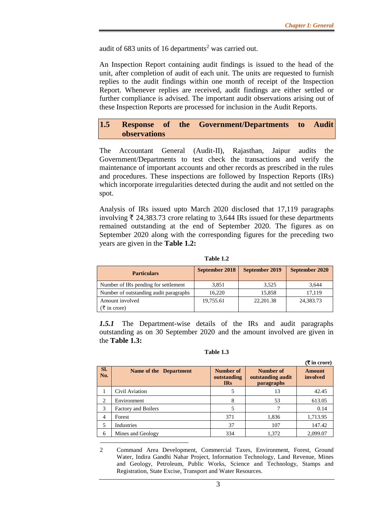audit of  $683$  units of  $16$  departments<sup>2</sup> was carried out.

An Inspection Report containing audit findings is issued to the head of the unit, after completion of audit of each unit. The units are requested to furnish replies to the audit findings within one month of receipt of the Inspection Report. Whenever replies are received, audit findings are either settled or further compliance is advised. The important audit observations arising out of these Inspection Reports are processed for inclusion in the Audit Reports.

### **1.5 Response of the Government/Departments to Audit observations**

The Accountant General (Audit-II), Rajasthan, Jaipur audits the Government/Departments to test check the transactions and verify the maintenance of important accounts and other records as prescribed in the rules and procedures. These inspections are followed by Inspection Reports (IRs) which incorporate irregularities detected during the audit and not settled on the spot.

Analysis of IRs issued upto March 2020 disclosed that 17,119 paragraphs involving  $\bar{\tau}$  24,383.73 crore relating to 3,644 IRs issued for these departments remained outstanding at the end of September 2020. The figures as on September 2020 along with the corresponding figures for the preceding two years are given in the **Table 1.2:**

**Table 1.2**

| <b>Particulars</b>                     | September 2018 | September 2019 | September 2020 |
|----------------------------------------|----------------|----------------|----------------|
| Number of IRs pending for settlement   | 3,851          | 3.525          | 3,644          |
| Number of outstanding audit paragraphs | 16.220         | 15.858         | 17.119         |
| Amount involved                        | 19,755.61      | 22, 201.38     | 24,383.73      |
| $\bar{\tau}$ in crore)                 |                |                |                |

*1.5.1* The Department-wise details of the IRs and audit paragraphs outstanding as on 30 September 2020 and the amount involved are given in the **Table 1.3:**

**Table 1.3**

|                | $(3\overline{5})$ in crore)   |                                        |                                                     |                           |  |  |
|----------------|-------------------------------|----------------------------------------|-----------------------------------------------------|---------------------------|--|--|
| Sl.<br>No.     | <b>Name of the Department</b> | Number of<br>outstanding<br><b>IRs</b> | Number of<br>outstanding audit<br><i>paragraphs</i> | <b>Amount</b><br>involved |  |  |
|                | Civil Aviation                |                                        | 13                                                  | 42.45                     |  |  |
| $\overline{c}$ | Environment                   | 8                                      | 53                                                  | 613.05                    |  |  |
| 3              | <b>Factory and Boilers</b>    |                                        |                                                     | 0.14                      |  |  |
| 4              | Forest                        | 371                                    | 1,836                                               | 1,713.95                  |  |  |
| 5              | Industries                    | 37                                     | 107                                                 | 147.42                    |  |  |
| 6              | Mines and Geology             | 334                                    | 1,372                                               | 2,099.07                  |  |  |

2 Command Area Development, Commercial Taxes, Environment, Forest, Ground Water, Indira Gandhi Nahar Project, Information Technology, Land Revenue, Mines and Geology, Petroleum, Public Works, Science and Technology, Stamps and Registration, State Excise, Transport and Water Resources.

1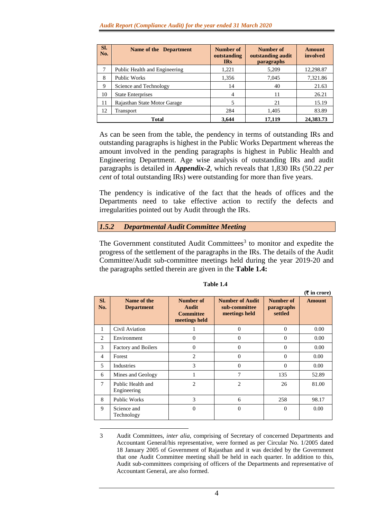| SI.<br>No.               | <b>Name of the Department</b> | Number of<br>outstanding<br><b>IRs</b> | Number of<br>outstanding audit<br>paragraphs | <b>Amount</b><br>involved |
|--------------------------|-------------------------------|----------------------------------------|----------------------------------------------|---------------------------|
|                          | Public Health and Engineering | 1,221                                  | 5,209                                        | 12,298.87                 |
| <b>Public Works</b><br>8 |                               | 1,356                                  | 7,045                                        | 7,321.86                  |
| 9                        | Science and Technology        | 14                                     | 40                                           | 21.63                     |
| 10                       | <b>State Enterprises</b>      | 4                                      | 11                                           | 26.21                     |
| 11                       | Rajasthan State Motor Garage  |                                        | 21                                           | 15.19                     |
| 12                       | <b>Transport</b>              | 284                                    | 1,405                                        | 83.89                     |
|                          | Total                         | 3.644                                  | 17,119                                       | 24, 383, 73               |

As can be seen from the table, the pendency in terms of outstanding IRs and outstanding paragraphs is highest in the Public Works Department whereas the amount involved in the pending paragraphs is highest in Public Health and Engineering Department. Age wise analysis of outstanding IRs and audit paragraphs is detailed in *Appendix-2*, which reveals that 1,830 IRs (50.22 *per cent* of total outstanding IRs) were outstanding for more than five years.

The pendency is indicative of the fact that the heads of offices and the Departments need to take effective action to rectify the defects and irregularities pointed out by Audit through the IRs.

### *1.5.2 Departmental Audit Committee Meeting*

1

The Government constituted Audit Committees<sup>3</sup> to monitor and expedite the progress of the settlement of the paragraphs in the IRs. The details of the Audit Committee/Audit sub-committee meetings held during the year 2019-20 and the paragraphs settled therein are given in the **Table 1.4:**

|                |                                  |                                                         |                                                          |                                           | $(3\overline{5})$ in crore) |
|----------------|----------------------------------|---------------------------------------------------------|----------------------------------------------------------|-------------------------------------------|-----------------------------|
| SI.<br>No.     | Name of the<br><b>Department</b> | Number of<br>Audit<br><b>Committee</b><br>meetings held | <b>Number of Audit</b><br>sub-committee<br>meetings held | Number of<br><i>paragraphs</i><br>settled | <b>Amount</b>               |
| 1              | Civil Aviation                   | 1                                                       | $\Omega$                                                 | $\Omega$                                  | 0.00                        |
| 2              | Environment                      | $\theta$                                                | $\theta$                                                 | $\theta$                                  | 0.00                        |
| 3              | <b>Factory and Boilers</b>       | $\theta$                                                | $\Omega$                                                 | $\Omega$                                  | 0.00                        |
| $\overline{4}$ | Forest                           | $\overline{2}$                                          | $\Omega$                                                 | $\Omega$                                  | 0.00                        |
| 5              | Industries                       | 3                                                       | $\Omega$                                                 | $\Omega$                                  | 0.00                        |
| 6              | Mines and Geology                | 1                                                       | 7                                                        | 135                                       | 52.89                       |
| 7              | Public Health and<br>Engineering | $\overline{c}$                                          | $\overline{c}$                                           | 26                                        | 81.00                       |
| 8              | <b>Public Works</b>              | 3                                                       | 6                                                        | 258                                       | 98.17                       |
| 9              | Science and<br>Technology        | $\theta$                                                | $\theta$                                                 | $\Omega$                                  | 0.00                        |

**Table 1.4**

<sup>3</sup> Audit Committees, *inter alia*, comprising of Secretary of concerned Departments and Accountant General/his representative, were formed as per Circular No. 1/2005 dated 18 January 2005 of Government of Rajasthan and it was decided by the Government that one Audit Committee meeting shall be held in each quarter. In addition to this, Audit sub-committees comprising of officers of the Departments and representative of Accountant General, are also formed.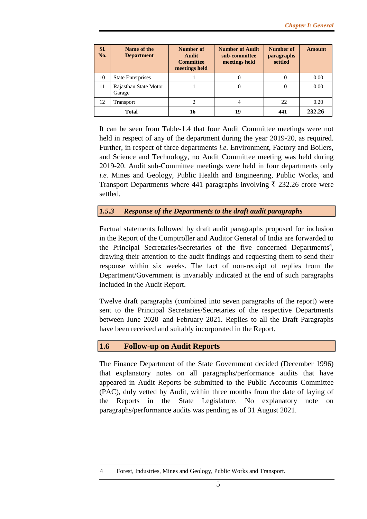| SI.<br>No. | Name of the<br><b>Department</b> | Number of<br>Audit<br><b>Committee</b><br>meetings held | <b>Number of Audit</b><br>sub-committee<br>meetings held | Number of<br><i>paragraphs</i><br>settled | Amount |
|------------|----------------------------------|---------------------------------------------------------|----------------------------------------------------------|-------------------------------------------|--------|
| 10         | <b>State Enterprises</b>         |                                                         |                                                          |                                           | 0.00   |
| 11         | Rajasthan State Motor<br>Garage  |                                                         |                                                          |                                           | 0.00   |
| 12         | Transport                        |                                                         |                                                          | 22                                        | 0.20   |
|            | <b>Total</b>                     | 16                                                      | 19                                                       | 441                                       | 232.26 |

It can be seen from Table-1.4 that four Audit Committee meetings were not held in respect of any of the department during the year 2019-20, as required. Further, in respect of three departments *i.e.* Environment, Factory and Boilers, and Science and Technology, no Audit Committee meeting was held during 2019-20. Audit sub-Committee meetings were held in four departments only *i.e.* Mines and Geology, Public Health and Engineering, Public Works, and Transport Departments where 441 paragraphs involving  $\bar{\tau}$  232.26 crore were settled.

### *1.5.3 Response of the Departments to the draft audit paragraphs*

Factual statements followed by draft audit paragraphs proposed for inclusion in the Report of the Comptroller and Auditor General of India are forwarded to the Principal Secretaries/Secretaries of the five concerned Departments<sup>4</sup>, drawing their attention to the audit findings and requesting them to send their response within six weeks. The fact of non-receipt of replies from the Department/Government is invariably indicated at the end of such paragraphs included in the Audit Report.

Twelve draft paragraphs (combined into seven paragraphs of the report) were sent to the Principal Secretaries/Secretaries of the respective Departments between June 2020 and February 2021. Replies to all the Draft Paragraphs have been received and suitably incorporated in the Report.

### **1.6 Follow-up on Audit Reports**

1

The Finance Department of the State Government decided (December 1996) that explanatory notes on all paragraphs/performance audits that have appeared in Audit Reports be submitted to the Public Accounts Committee (PAC), duly vetted by Audit, within three months from the date of laying of the Reports in the State Legislature. No explanatory note on paragraphs/performance audits was pending as of 31 August 2021.

<sup>4</sup> Forest, Industries, Mines and Geology, Public Works and Transport.